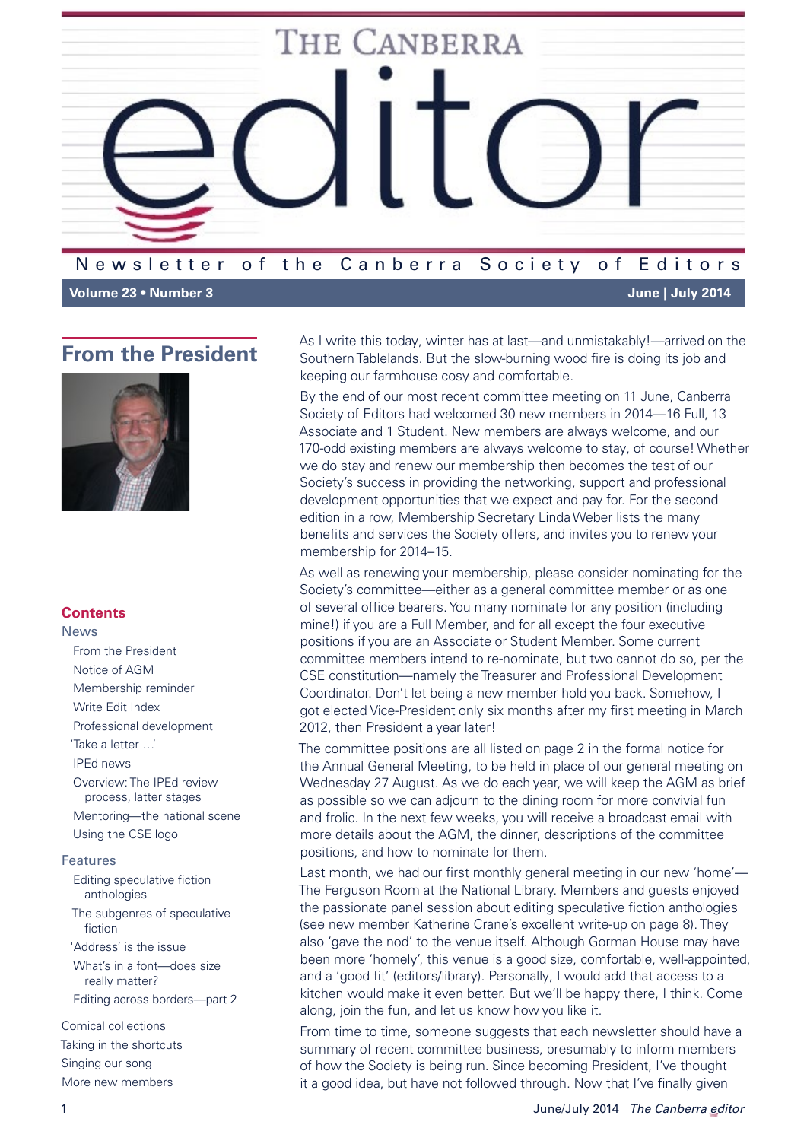

**Volume 23 • Number 3 June | July 2014**

# <span id="page-0-0"></span>**From the President**



## **Contents**

News

- [From the President](#page-0-0)
- [Notice of AGM](#page-1-0)
- [Membership reminder](#page-2-0)
- Write Edit Index
- [Professional development](#page-3-0)
- ['Take a letter …'](#page-3-1)
- [IPEd news](#page-4-0)
- [Overview: The IPEd review](#page-4-1)  [process, latter stages](#page-4-1) [Mentoring—the national scene](#page-6-0)
- Using the CSE logo

#### Features

- [Editing speculative fiction](#page-7-0)  [anthologies](#page-7-0) [The subgenres of speculative](#page-8-0)  [fiction](#page-8-0)
- ['Address' is the issue](#page-9-0)
- [What's in a font—does size](#page-9-1)  [really matter?](#page-9-1) [Editing across borders—part 2](#page-11-0)

[Comical collections](#page-13-0) [Taking in the shortcuts](#page-14-0) [Singing our song](#page-15-0) More new members

As I write this today, winter has at last—and unmistakably!—arrived on the Southern Tablelands. But the slow-burning wood fire is doing its job and keeping our farmhouse cosy and comfortable.

By the end of our most recent committee meeting on 11 June, Canberra Society of Editors had welcomed 30 new members in 2014—16 Full, 13 Associate and 1 Student. New members are always welcome, and our 170-odd existing members are always welcome to stay, of course! Whether we do stay and renew our membership then becomes the test of our Society's success in providing the networking, support and professional development opportunities that we expect and pay for. For the second edition in a row, Membership Secretary Linda Weber lists the many benefits and services the Society offers, and invites you to renew your membership for 2014–15.

As well as renewing your membership, please consider nominating for the Society's committee—either as a general committee member or as one of several office bearers. You many nominate for any position (including mine!) if you are a Full Member, and for all except the four executive positions if you are an Associate or Student Member. Some current committee members intend to re-nominate, but two cannot do so, per the CSE constitution—namely the Treasurer and Professional Development Coordinator. Don't let being a new member hold you back. Somehow, I got elected Vice-President only six months after my first meeting in March 2012, then President a year later!

The committee positions are all listed on page 2 in the formal notice for the Annual General Meeting, to be held in place of our general meeting on Wednesday 27 August. As we do each year, we will keep the AGM as brief as possible so we can adjourn to the dining room for more convivial fun and frolic. In the next few weeks, you will receive a broadcast email with more details about the AGM, the dinner, descriptions of the committee positions, and how to nominate for them.

Last month, we had our first monthly general meeting in our new 'home'— The Ferguson Room at the National Library. Members and guests enjoyed the passionate panel session about editing speculative fiction anthologies (see new member Katherine Crane's excellent write-up on page 8). They also 'gave the nod' to the venue itself. Although Gorman House may have been more 'homely', this venue is a good size, comfortable, well-appointed, and a 'good fit' (editors/library). Personally, I would add that access to a kitchen would make it even better. But we'll be happy there, I think. Come along, join the fun, and let us know how you like it.

From time to time, someone suggests that each newsletter should have a summary of recent committee business, presumably to inform members of how the Society is being run. Since becoming President, I've thought it a good idea, but have not followed through. Now that I've finally given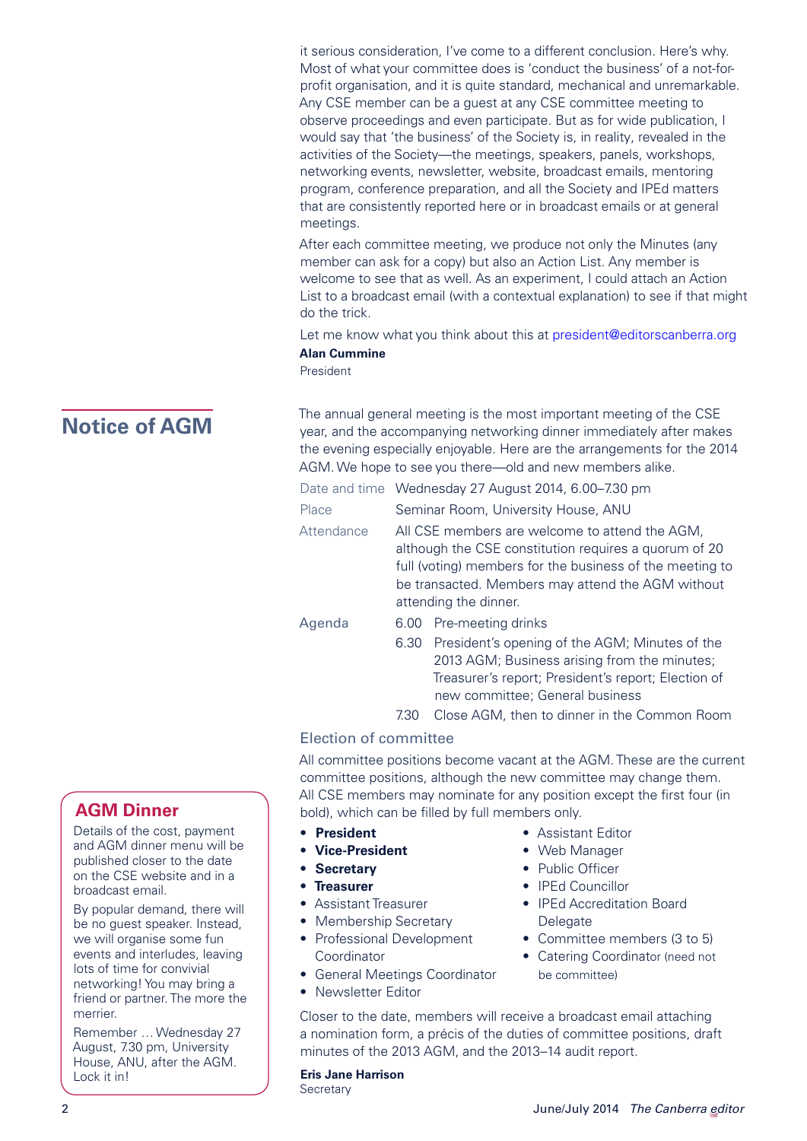it serious consideration, I've come to a different conclusion. Here's why. Most of what your committee does is 'conduct the business' of a not-forprofit organisation, and it is quite standard, mechanical and unremarkable. Any CSE member can be a guest at any CSE committee meeting to observe proceedings and even participate. But as for wide publication, I would say that 'the business' of the Society is, in reality, revealed in the activities of the Society—the meetings, speakers, panels, workshops, networking events, newsletter, website, broadcast emails, mentoring program, conference preparation, and all the Society and IPEd matters that are consistently reported here or in broadcast emails or at general meetings.

After each committee meeting, we produce not only the Minutes (any member can ask for a copy) but also an Action List. Any member is welcome to see that as well. As an experiment, I could attach an Action List to a broadcast email (with a contextual explanation) to see if that might do the trick.

Let me know what you think about this at [president@editorscanberra.org](mailto:president@editorscanberra.org) **Alan Cummine**

President

<span id="page-1-0"></span>

Details of the cost, payment and AGM dinner menu will be published closer to the date on the CSE website and in a

By popular demand, there will be no guest speaker. Instead, we will organise some fun events and interludes, leaving lots of time for convivial networking! You may bring a friend or partner. The more the

Remember … Wednesday 27 August, 7.30 pm, University House, ANU, after the AGM.

broadcast email.

The annual general meeting is the most important meeting of the CSE<br>
year, and the accompanying networking dinner immediately after makes the evening especially enjoyable. Here are the arrangements for the 2014 AGM. We hope to see you there—old and new members alike.

|            | Date and time Wednesday 27 August 2014, 6.00–7.30 pm                                                                                                                                                                                              |  |  |
|------------|---------------------------------------------------------------------------------------------------------------------------------------------------------------------------------------------------------------------------------------------------|--|--|
| Place      | Seminar Room, University House, ANU                                                                                                                                                                                                               |  |  |
| Attendance | All CSE members are welcome to attend the AGM,<br>although the CSE constitution requires a quorum of 20<br>full (voting) members for the business of the meeting to<br>be transacted. Members may attend the AGM without<br>attending the dinner. |  |  |
| Agenda     | 6.00 Pre-meeting drinks                                                                                                                                                                                                                           |  |  |
|            | 6.30 President's opening of the AGM; Minutes of the<br>2013 AGM; Business arising from the minutes;                                                                                                                                               |  |  |
|            |                                                                                                                                                                                                                                                   |  |  |

Treasurer's report; President's report; Election of new committee; General business

7.30 Close AGM, then to dinner in the Common Room

## Election of committee

All committee positions become vacant at the AGM. These are the current committee positions, although the new committee may change them. All CSE members may nominate for any position except the first four (in **AGM Dinner** and bold), which can be filled by full members only.

- **• President**
- **• Vice-President**
- **• Secretary**
- **• Treasurer**
- Assistant Treasurer
- Membership Secretary
- Professional Development Coordinator
- General Meetings Coordinator
- Newsletter Editor
- Assistant Editor
- Web Manager
- Public Officer
- IPEd Councillor
- IPEd Accreditation Board Delegate
- Committee members (3 to 5)
- Catering Coordinator (need not be committee)

Closer to the date, members will receive a broadcast email attaching a nomination form, a précis of the duties of committee positions, draft minutes of the 2013 AGM, and the 2013–14 audit report.

# **Eris Jane Harrison**

**Secretary** 

merrier.

Lock it in!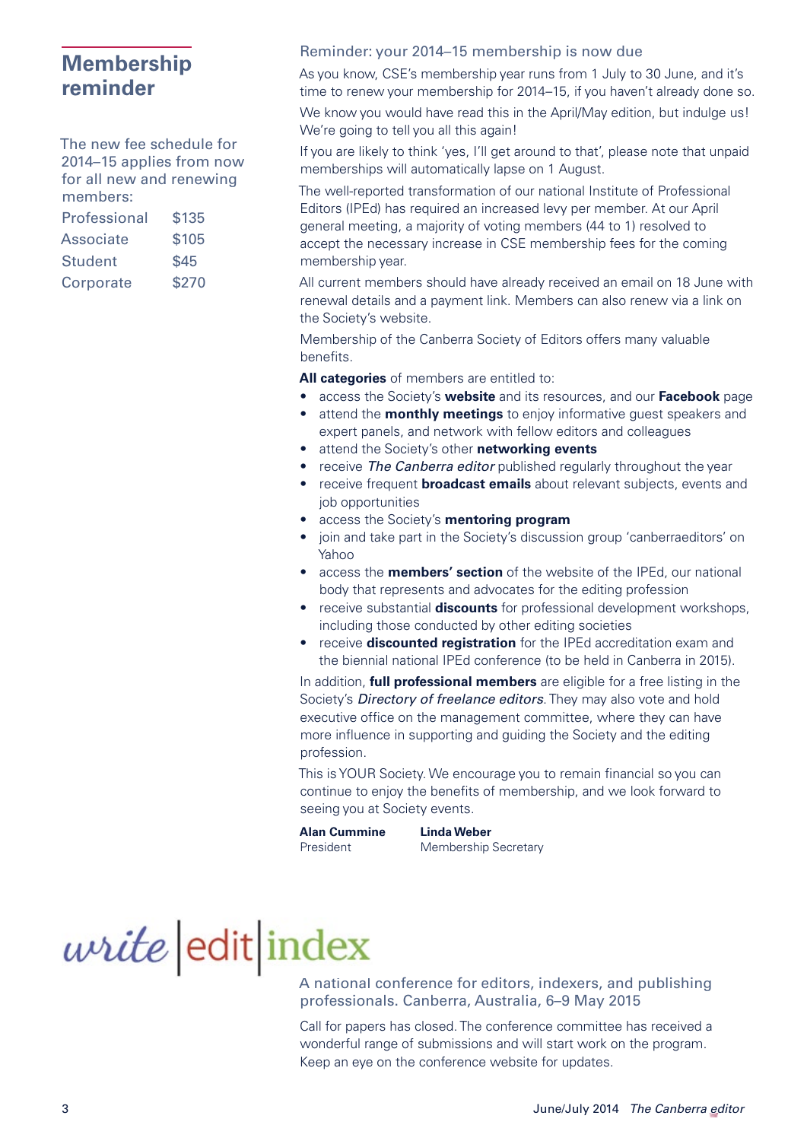# <span id="page-2-0"></span>**Membership reminder**

The new fee schedule for 2014–15 applies from now for all new and renewing members:

| Professional   | \$135 |
|----------------|-------|
| Associate      | \$105 |
| <b>Student</b> | \$45  |
| Corporate      | \$270 |

#### Reminder: your 2014–15 membership is now due

As you know, CSE's membership year runs from 1 July to 30 June, and it's time to renew your membership for 2014–15, if you haven't already done so.

We know you would have read this in the April/May edition, but indulge us! We're going to tell you all this again!

If you are likely to think 'yes, I'll get around to that', please note that unpaid memberships will automatically lapse on 1 August.

The well-reported transformation of our national Institute of Professional Editors (IPEd) has required an increased levy per member. At our April general meeting, a majority of voting members (44 to 1) resolved to accept the necessary increase in CSE membership fees for the coming membership year.

All current members should have already received an email on 18 June with renewal details and a payment link. Members can also renew via a link on the Society's website.

Membership of the Canberra Society of Editors offers many valuable benefits.

**All categories** of members are entitled to:

- access the Society's **website** and its resources, and our **Facebook** page • attend the **monthly meetings** to enjoy informative guest speakers and
	- expert panels, and network with fellow editors and colleagues
- attend the Society's other **networking events**
- receive *The Canberra editor* published regularly throughout the year
- receive frequent **broadcast emails** about relevant subjects, events and job opportunities
- access the Society's **mentoring program**
- join and take part in the Society's discussion group 'canberraeditors' on Yahoo
- access the **members' section** of the website of the IPEd, our national body that represents and advocates for the editing profession
- receive substantial **discounts** for professional development workshops, including those conducted by other editing societies
- receive **discounted registration** for the IPEd accreditation exam and the biennial national IPEd conference (to be held in Canberra in 2015).

In addition, **full professional members** are eligible for a free listing in the Society's *Directory of freelance editors*. They may also vote and hold executive office on the management committee, where they can have more influence in supporting and guiding the Society and the editing profession.

This is YOUR Society. We encourage you to remain financial so you can continue to enjoy the benefits of membership, and we look forward to seeing you at Society events.

**Alan Cummine Linda Weber**

President Membership Secretary

# *write* edit index

A national conference for editors, indexers, and publishing professionals. Canberra, Australia, 6–9 May 2015

Call for papers has closed. The conference committee has received a wonderful range of submissions and will start work on the program. Keep an eye on the conference [website](http://writeeditindex.net.au/) for updates.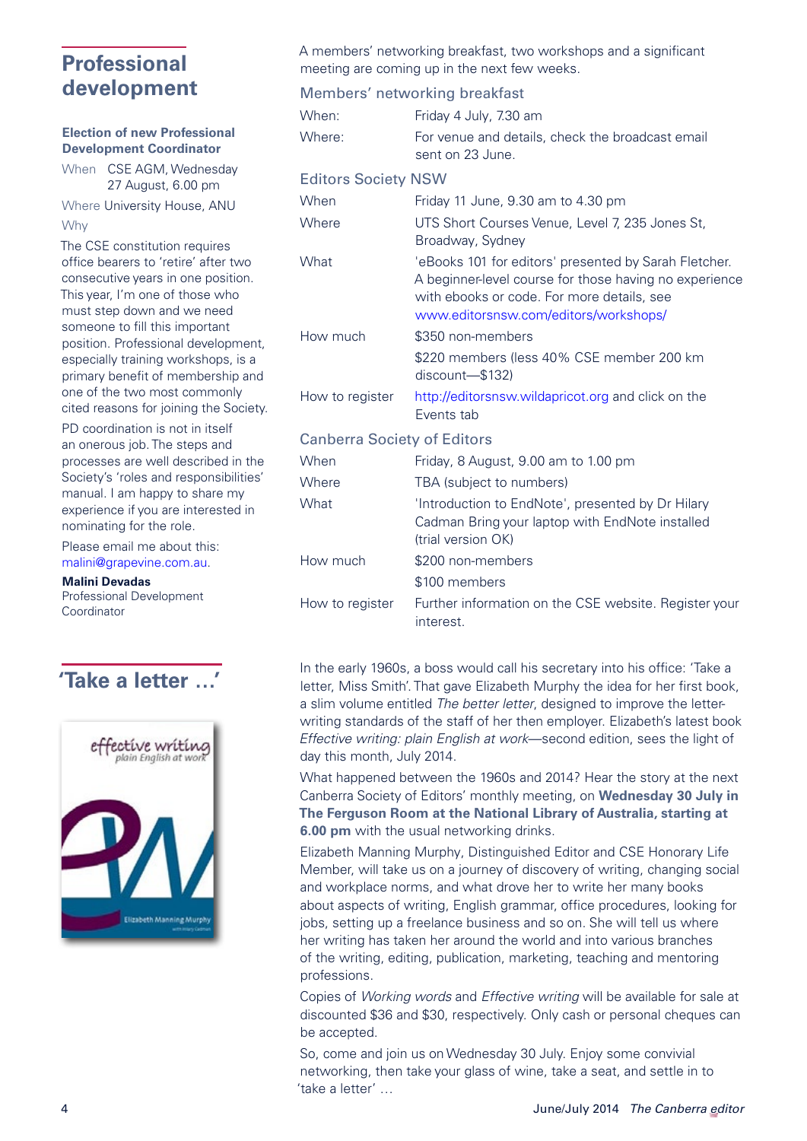# <span id="page-3-0"></span>**Professional development**

#### **Election of new Professional Development Coordinator**

When CSE AGM, Wednesday 27 August, 6.00 pm

Where University House, ANU Why

The CSE constitution requires office bearers to 'retire' after two consecutive years in one position. This year, I'm one of those who must step down and we need someone to fill this important position. Professional development, especially training workshops, is a primary benefit of membership and one of the two most commonly cited reasons for joining the Society.

PD coordination is not in itself an onerous job. The steps and processes are well described in the Society's 'roles and responsibilities' manual. I am happy to share my experience if you are interested in nominating for the role.

Please email me about this: [malini@grapevine.com.au.](mailto:malini@grapevine.com.au)

**Malini Devadas**

Professional Development Coordinator



A members' networking breakfast, two workshops and a significant

|                                    | meeting are coming up in the next few weeks.                                                                                                                                                           |
|------------------------------------|--------------------------------------------------------------------------------------------------------------------------------------------------------------------------------------------------------|
|                                    | Members' networking breakfast                                                                                                                                                                          |
| When:                              | Friday 4 July, 7.30 am                                                                                                                                                                                 |
| Where:                             | For venue and details, check the broadcast email<br>sent on 23 June.                                                                                                                                   |
| <b>Editors Society NSW</b>         |                                                                                                                                                                                                        |
| When                               | Friday 11 June, 9.30 am to 4.30 pm                                                                                                                                                                     |
| Where                              | UTS Short Courses Venue, Level 7, 235 Jones St,<br>Broadway, Sydney                                                                                                                                    |
| What                               | 'eBooks 101 for editors' presented by Sarah Fletcher.<br>A beginner-level course for those having no experience<br>with ebooks or code. For more details, see<br>www.editorsnsw.com/editors/workshops/ |
| How much                           | \$350 non-members                                                                                                                                                                                      |
|                                    | \$220 members (less 40% CSE member 200 km<br>discount-\$132)                                                                                                                                           |
| How to register                    | http://editorsnsw.wildapricot.org and click on the<br>Events tab                                                                                                                                       |
| <b>Canberra Society of Editors</b> |                                                                                                                                                                                                        |
| When                               | Friday, 8 August, 9.00 am to 1.00 pm                                                                                                                                                                   |
| Where                              | TBA (subject to numbers)                                                                                                                                                                               |
| What                               | 'Introduction to EndNote', presented by Dr Hilary<br>Cadman Bring your laptop with EndNote installed<br>(trial version OK)                                                                             |
| How much                           | \$200 non-members                                                                                                                                                                                      |
|                                    | \$100 members                                                                                                                                                                                          |
| How to register                    | Further information on the CSE website. Register your<br>interest.                                                                                                                                     |

<span id="page-3-1"></span>In the early 1960s, a boss would call his secretary into his office: 'Take a<br> **Take a letter ...'** letter, Miss Smith'. That gave Elizabeth Murphy the idea for her first book, a slim volume entitled *The better letter*, designed to improve the letterwriting standards of the staff of her then employer. Elizabeth's latest book *Effective writing: plain English at work*—second edition, sees the light of day this month, July 2014.

> What happened between the 1960s and 2014? Hear the story at the next Canberra Society of Editors' monthly meeting, on **Wednesday 30 July in The Ferguson Room at the National Library of Australia, starting at 6.00 pm** with the usual networking drinks.

> Elizabeth Manning Murphy, Distinguished Editor and CSE Honorary Life Member, will take us on a journey of discovery of writing, changing social and workplace norms, and what drove her to write her many books about aspects of writing, English grammar, office procedures, looking for jobs, setting up a freelance business and so on. She will tell us where her writing has taken her around the world and into various branches of the writing, editing, publication, marketing, teaching and mentoring professions.

> Copies of *Working words* and *Effective writing* will be available for sale at discounted \$36 and \$30, respectively. Only cash or personal cheques can be accepted.

So, come and join us on Wednesday 30 July. Enjoy some convivial networking, then take your glass of wine, take a seat, and settle in to 'take a letter' …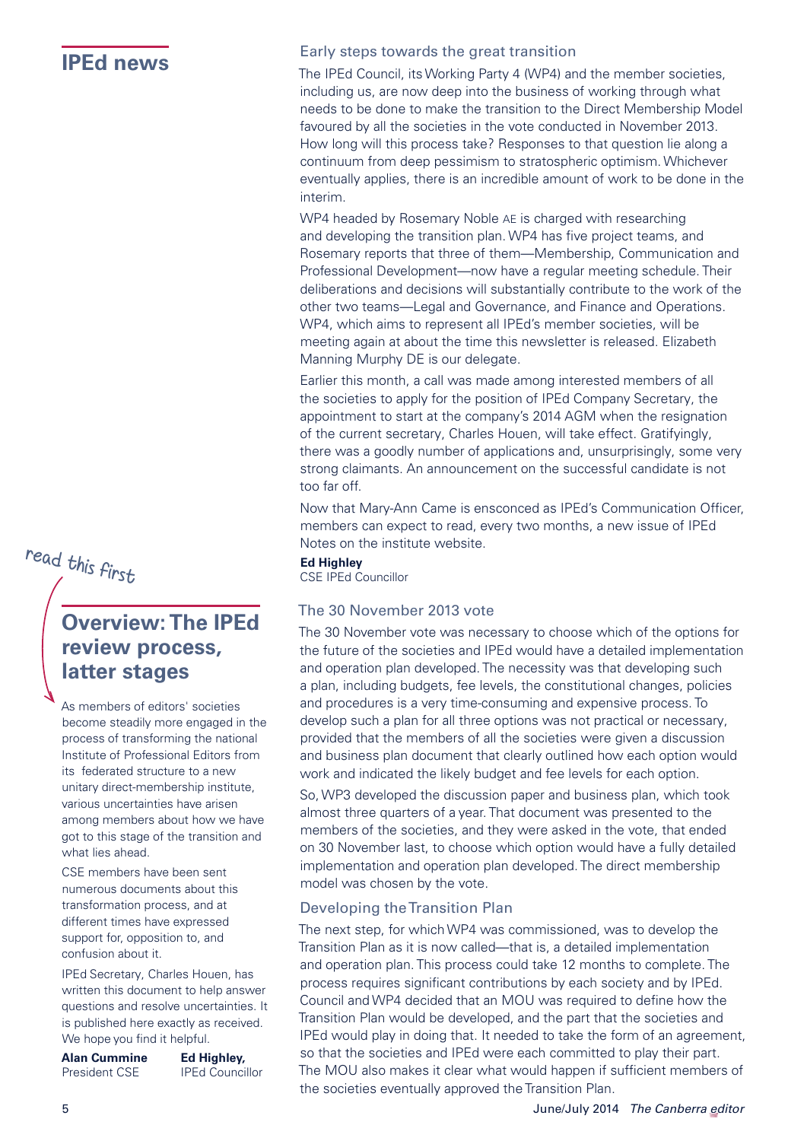# read this first

# <span id="page-4-1"></span>**Overview: The IPEd review process, latter stages**

As members of editors' societies become steadily more engaged in the process of transforming the national Institute of Professional Editors from its federated structure to a new unitary direct-membership institute, various uncertainties have arisen among members about how we have got to this stage of the transition and what lies ahead.

CSE members have been sent numerous documents about this transformation process, and at different times have expressed support for, opposition to, and confusion about it.

IPEd Secretary, Charles Houen, has written this document to help answer questions and resolve uncertainties. It is published here exactly as received. We hope you find it helpful.

| <b>Alan Cummine</b>  | Ed Highley,            |
|----------------------|------------------------|
| <b>President CSE</b> | <b>IPEd Councillor</b> |

# <span id="page-4-0"></span>**IPEd news** Early steps towards the great transition

The IPEd Council, its Working Party 4 (WP4) and the member societies, including us, are now deep into the business of working through what needs to be done to make the transition to the Direct Membership Model favoured by all the societies in the vote conducted in November 2013. How long will this process take? Responses to that question lie along a continuum from deep pessimism to stratospheric optimism. Whichever eventually applies, there is an incredible amount of work to be done in the interim.

WP4 headed by Rosemary Noble AE is charged with researching and developing the transition plan. WP4 has five project teams, and Rosemary reports that three of them—Membership, Communication and Professional Development—now have a regular meeting schedule. Their deliberations and decisions will substantially contribute to the work of the other two teams—Legal and Governance, and Finance and Operations. WP4, which aims to represent all IPEd's member societies, will be meeting again at about the time this newsletter is released. Elizabeth Manning Murphy DE is our delegate.

Earlier this month, a call was made among interested members of all the societies to apply for the position of IPEd Company Secretary, the appointment to start at the company's 2014 AGM when the resignation of the current secretary, Charles Houen, will take effect. Gratifyingly, there was a goodly number of applications and, unsurprisingly, some very strong claimants. An announcement on the successful candidate is not too far off.

Now that Mary-Ann Came is ensconced as IPEd's Communication Officer, members can expect to read, every two months, a new issue of IPEd Notes on the institute website.

**Ed Highley**

## The 30 November 2013 vote

The 30 November vote was necessary to choose which of the options for the future of the societies and IPEd would have a detailed implementation and operation plan developed. The necessity was that developing such a plan, including budgets, fee levels, the constitutional changes, policies and procedures is a very time-consuming and expensive process. To develop such a plan for all three options was not practical or necessary, provided that the members of all the societies were given a discussion and business plan document that clearly outlined how each option would work and indicated the likely budget and fee levels for each option.

So, WP3 developed the discussion paper and business plan, which took almost three quarters of a year. That document was presented to the members of the societies, and they were asked in the vote, that ended on 30 November last, to choose which option would have a fully detailed implementation and operation plan developed. The direct membership model was chosen by the vote.

#### Developing the Transition Plan

The next step, for which WP4 was commissioned, was to develop the Transition Plan as it is now called—that is, a detailed implementation and operation plan. This process could take 12 months to complete. The process requires significant contributions by each society and by IPEd. Council and WP4 decided that an MOU was required to define how the Transition Plan would be developed, and the part that the societies and IPEd would play in doing that. It needed to take the form of an agreement, so that the societies and IPEd were each committed to play their part. The MOU also makes it clear what would happen if sufficient members of the societies eventually approved the Transition Plan.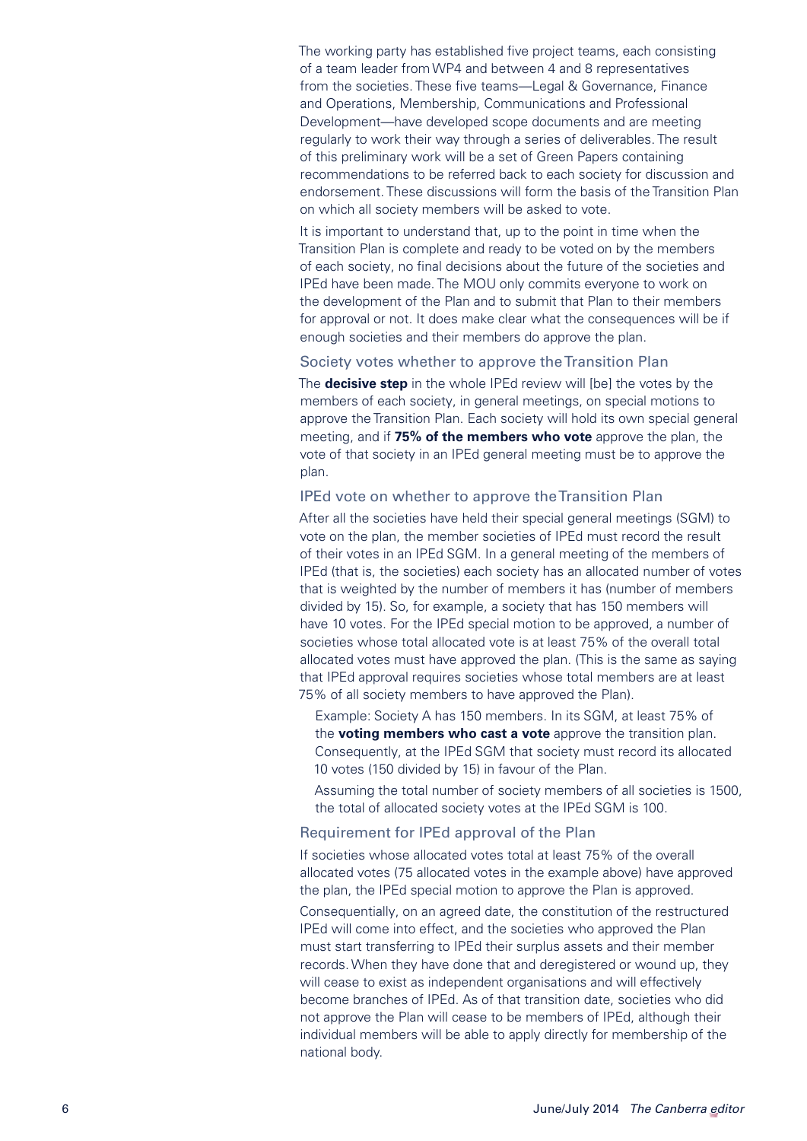The working party has established five project teams, each consisting of a team leader from WP4 and between 4 and 8 representatives from the societies. These five teams—Legal & Governance, Finance and Operations, Membership, Communications and Professional Development—have developed scope documents and are meeting regularly to work their way through a series of deliverables. The result of this preliminary work will be a set of Green Papers containing recommendations to be referred back to each society for discussion and endorsement. These discussions will form the basis of the Transition Plan on which all society members will be asked to vote.

It is important to understand that, up to the point in time when the Transition Plan is complete and ready to be voted on by the members of each society, no final decisions about the future of the societies and IPEd have been made. The MOU only commits everyone to work on the development of the Plan and to submit that Plan to their members for approval or not. It does make clear what the consequences will be if enough societies and their members do approve the plan.

#### Society votes whether to approve the Transition Plan

The **decisive step** in the whole IPEd review will [be] the votes by the members of each society, in general meetings, on special motions to approve the Transition Plan. Each society will hold its own special general meeting, and if **75% of the members who vote** approve the plan, the vote of that society in an IPEd general meeting must be to approve the plan.

#### IPEd vote on whether to approve the Transition Plan

After all the societies have held their special general meetings (SGM) to vote on the plan, the member societies of IPEd must record the result of their votes in an IPEd SGM. In a general meeting of the members of IPEd (that is, the societies) each society has an allocated number of votes that is weighted by the number of members it has (number of members divided by 15). So, for example, a society that has 150 members will have 10 votes. For the IPEd special motion to be approved, a number of societies whose total allocated vote is at least 75% of the overall total allocated votes must have approved the plan. (This is the same as saying that IPEd approval requires societies whose total members are at least 75% of all society members to have approved the Plan).

Example: Society A has 150 members. In its SGM, at least 75% of the **voting members who cast a vote** approve the transition plan. Consequently, at the IPEd SGM that society must record its allocated 10 votes (150 divided by 15) in favour of the Plan.

Assuming the total number of society members of all societies is 1500, the total of allocated society votes at the IPEd SGM is 100.

#### Requirement for IPEd approval of the Plan

If societies whose allocated votes total at least 75% of the overall allocated votes (75 allocated votes in the example above) have approved the plan, the IPEd special motion to approve the Plan is approved.

Consequentially, on an agreed date, the constitution of the restructured IPEd will come into effect, and the societies who approved the Plan must start transferring to IPEd their surplus assets and their member records. When they have done that and deregistered or wound up, they will cease to exist as independent organisations and will effectively become branches of IPEd. As of that transition date, societies who did not approve the Plan will cease to be members of IPEd, although their individual members will be able to apply directly for membership of the national body.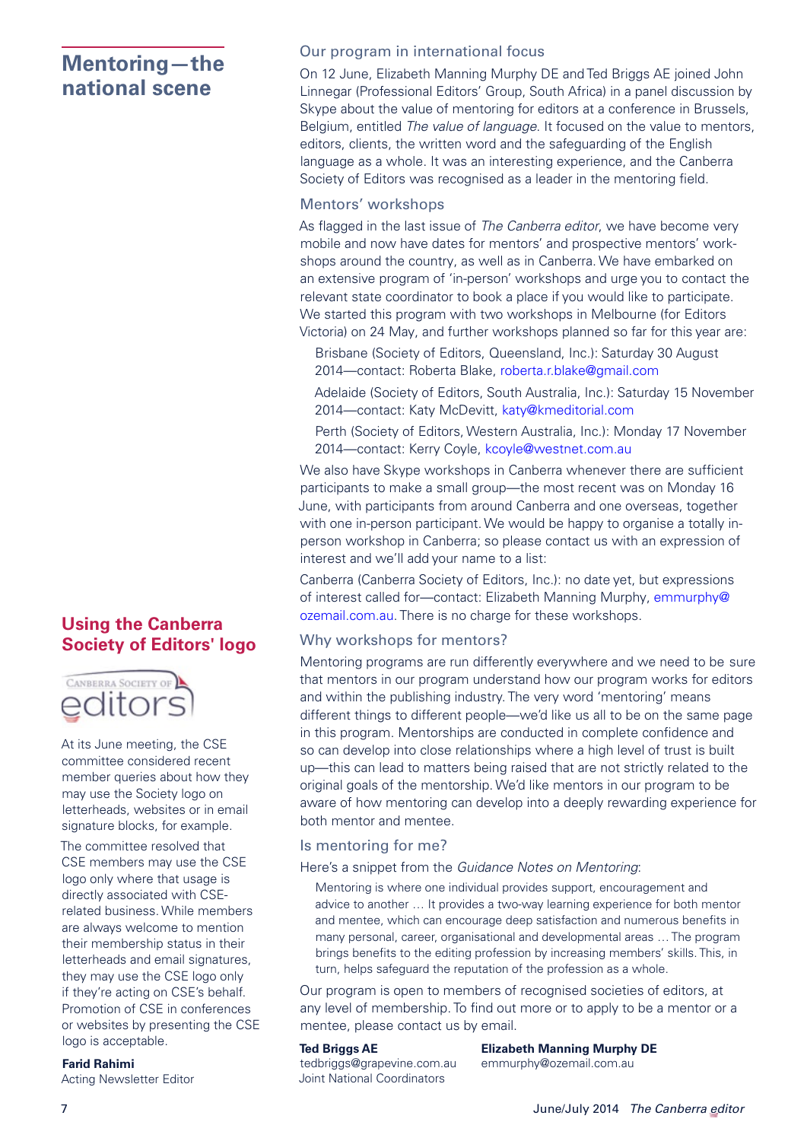# <span id="page-6-0"></span>**Mentoring—the national scene**

## **Using the Canberra Society of Editors' logo**



At its June meeting, the CSE committee considered recent member queries about how they may use the Society logo on letterheads, websites or in email signature blocks, for example.

The committee resolved that CSE members may use the CSE logo only where that usage is directly associated with CSErelated business. While members are always welcome to mention their membership status in their letterheads and email signatures, they may use the CSE logo only if they're acting on CSE's behalf. Promotion of CSE in conferences or websites by presenting the CSE logo is acceptable.

#### **Farid Rahimi**

Acting Newsletter Editor

#### Our program in international focus

On 12 June, Elizabeth Manning Murphy DE and Ted Briggs AE joined John Linnegar (Professional Editors' Group, South Africa) in a panel discussion by Skype about the value of mentoring for editors at a conference in Brussels, Belgium, entitled *The value of language*. It focused on the value to mentors, editors, clients, the written word and the safeguarding of the English language as a whole. It was an interesting experience, and the Canberra Society of Editors was recognised as a leader in the mentoring field.

#### Mentors' workshops

As flagged in the last issue of *The Canberra editor*, we have become very mobile and now have dates for mentors' and prospective mentors' workshops around the country, as well as in Canberra. We have embarked on an extensive program of 'in-person' workshops and urge you to contact the relevant state coordinator to book a place if you would like to participate. We started this program with two workshops in Melbourne (for Editors Victoria) on 24 May, and further workshops planned so far for this year are:

- Brisbane (Society of Editors, Queensland, Inc.): Saturday 30 August 2014—contact: Roberta Blake, [roberta.r.blake@gmail.com](mailto:roberta.r.blake@gmail.com)
- Adelaide (Society of Editors, South Australia, Inc.): Saturday 15 November 2014—contact: Katy McDevitt, [katy@kmeditorial.com](mailto:katy@kmeditorial.com)
- Perth (Society of Editors, Western Australia, Inc.): Monday 17 November 2014—contact: Kerry Coyle, [kcoyle@westnet.com.au](mailto:kcoyle@westnet.com.au)

We also have Skype workshops in Canberra whenever there are sufficient participants to make a small group—the most recent was on Monday 16 June, with participants from around Canberra and one overseas, together with one in-person participant. We would be happy to organise a totally inperson workshop in Canberra; so please contact us with an expression of interest and we'll add your name to a list:

Canberra (Canberra Society of Editors, Inc.): no date yet, but expressions of interest called for—contact: Elizabeth Manning Murphy, [emmurphy@](mailto:emmurphy@ozemail.com.au) [ozemail.com.au.](mailto:emmurphy@ozemail.com.au) There is no charge for these workshops.

#### Why workshops for mentors?

Mentoring programs are run differently everywhere and we need to be sure that mentors in our program understand how our program works for editors and within the publishing industry. The very word 'mentoring' means different things to different people—we'd like us all to be on the same page in this program. Mentorships are conducted in complete confidence and so can develop into close relationships where a high level of trust is built up—this can lead to matters being raised that are not strictly related to the original goals of the mentorship. We'd like mentors in our program to be aware of how mentoring can develop into a deeply rewarding experience for both mentor and mentee.

#### Is mentoring for me?

#### Here's a snippet from the *Guidance Notes on Mentoring*:

Mentoring is where one individual provides support, encouragement and advice to another … It provides a two-way learning experience for both mentor and mentee, which can encourage deep satisfaction and numerous benefits in many personal, career, organisational and developmental areas … The program brings benefits to the editing profession by increasing members' skills. This, in turn, helps safeguard the reputation of the profession as a whole.

Our program is open to members of recognised societies of editors, at any level of membership. To find out more or to apply to be a mentor or a mentee, please contact us by email.

[tedbriggs@grapevine.com.au](mailto:tedbriggs@grapevine.com.au) [emmurphy@ozemail.com.au](mailto:emmurphy@ozemail.com.au) Joint National Coordinators

**Ted Briggs AE Elizabeth Manning Murphy DE**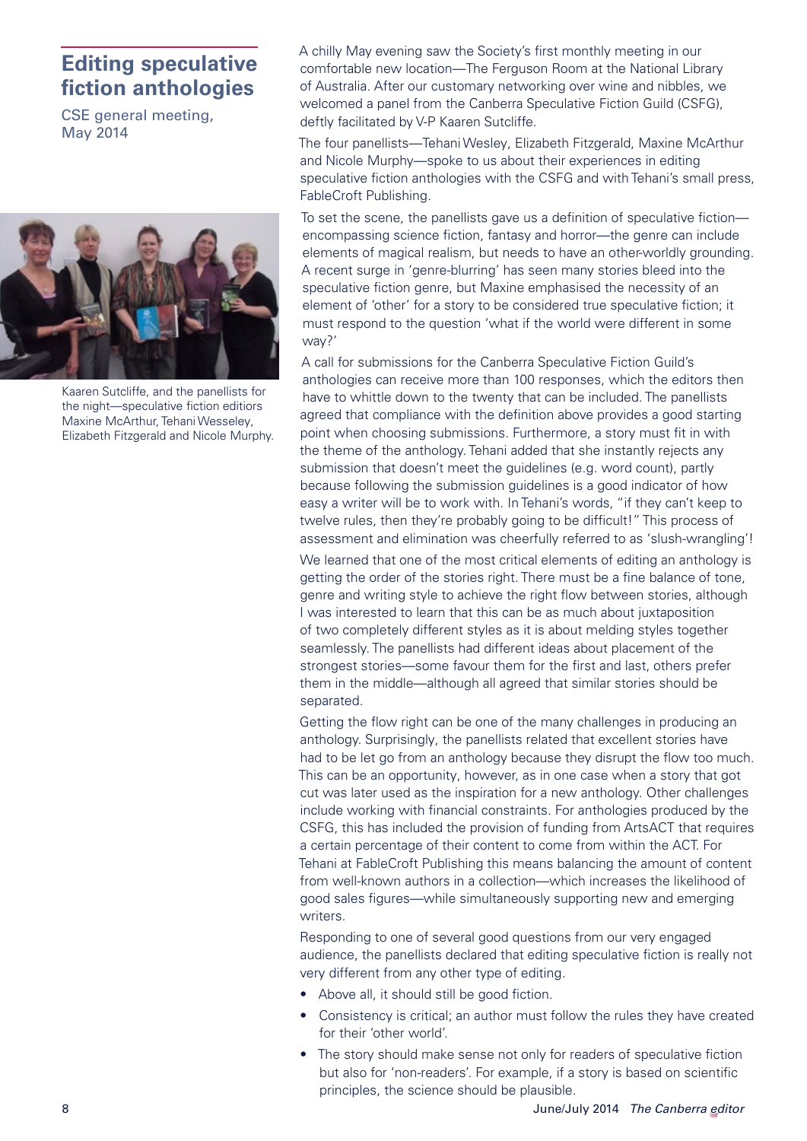# <span id="page-7-0"></span>**Editing speculative fiction anthologies**

CSE general meeting, May 2014



Kaaren Sutcliffe, and the panellists for the night—speculative fiction editiors Maxine McArthur, Tehani Wesseley, Elizabeth Fitzgerald and Nicole Murphy.

A chilly May evening saw the Society's first monthly meeting in our comfortable new location—The Ferguson Room at the National Library of Australia. After our customary networking over wine and nibbles, we welcomed a panel from the Canberra Speculative Fiction Guild (CSFG), deftly facilitated by V-P Kaaren Sutcliffe.

The four panellists—Tehani Wesley, Elizabeth Fitzgerald, Maxine McArthur and Nicole Murphy—spoke to us about their experiences in editing speculative fiction anthologies with the CSFG and with Tehani's small press, FableCroft Publishing.

To set the scene, the panellists gave us a definition of speculative fiction encompassing science fiction, fantasy and horror—the genre can include elements of magical realism, but needs to have an other-worldly grounding. A recent surge in 'genre-blurring' has seen many stories bleed into the speculative fiction genre, but Maxine emphasised the necessity of an element of 'other' for a story to be considered true speculative fiction; it must respond to the question 'what if the world were different in some way?'

A call for submissions for the Canberra Speculative Fiction Guild's anthologies can receive more than 100 responses, which the editors then have to whittle down to the twenty that can be included. The panellists agreed that compliance with the definition above provides a good starting point when choosing submissions. Furthermore, a story must fit in with the theme of the anthology. Tehani added that she instantly rejects any submission that doesn't meet the guidelines (e.g. word count), partly because following the submission guidelines is a good indicator of how easy a writer will be to work with. In Tehani's words, "if they can't keep to twelve rules, then they're probably going to be difficult!" This process of assessment and elimination was cheerfully referred to as 'slush-wrangling'!

We learned that one of the most critical elements of editing an anthology is getting the order of the stories right. There must be a fine balance of tone, genre and writing style to achieve the right flow between stories, although I was interested to learn that this can be as much about juxtaposition of two completely different styles as it is about melding styles together seamlessly. The panellists had different ideas about placement of the strongest stories—some favour them for the first and last, others prefer them in the middle—although all agreed that similar stories should be separated.

Getting the flow right can be one of the many challenges in producing an anthology. Surprisingly, the panellists related that excellent stories have had to be let go from an anthology because they disrupt the flow too much. This can be an opportunity, however, as in one case when a story that got cut was later used as the inspiration for a new anthology. Other challenges include working with financial constraints. For anthologies produced by the CSFG, this has included the provision of funding from ArtsACT that requires a certain percentage of their content to come from within the ACT. For Tehani at FableCroft Publishing this means balancing the amount of content from well-known authors in a collection—which increases the likelihood of good sales figures—while simultaneously supporting new and emerging writers.

Responding to one of several good questions from our very engaged audience, the panellists declared that editing speculative fiction is really not very different from any other type of editing.

- Above all, it should still be good fiction.
- Consistency is critical; an author must follow the rules they have created for their 'other world'.
- The story should make sense not only for readers of speculative fiction but also for 'non-readers'. For example, if a story is based on scientific principles, the science should be plausible.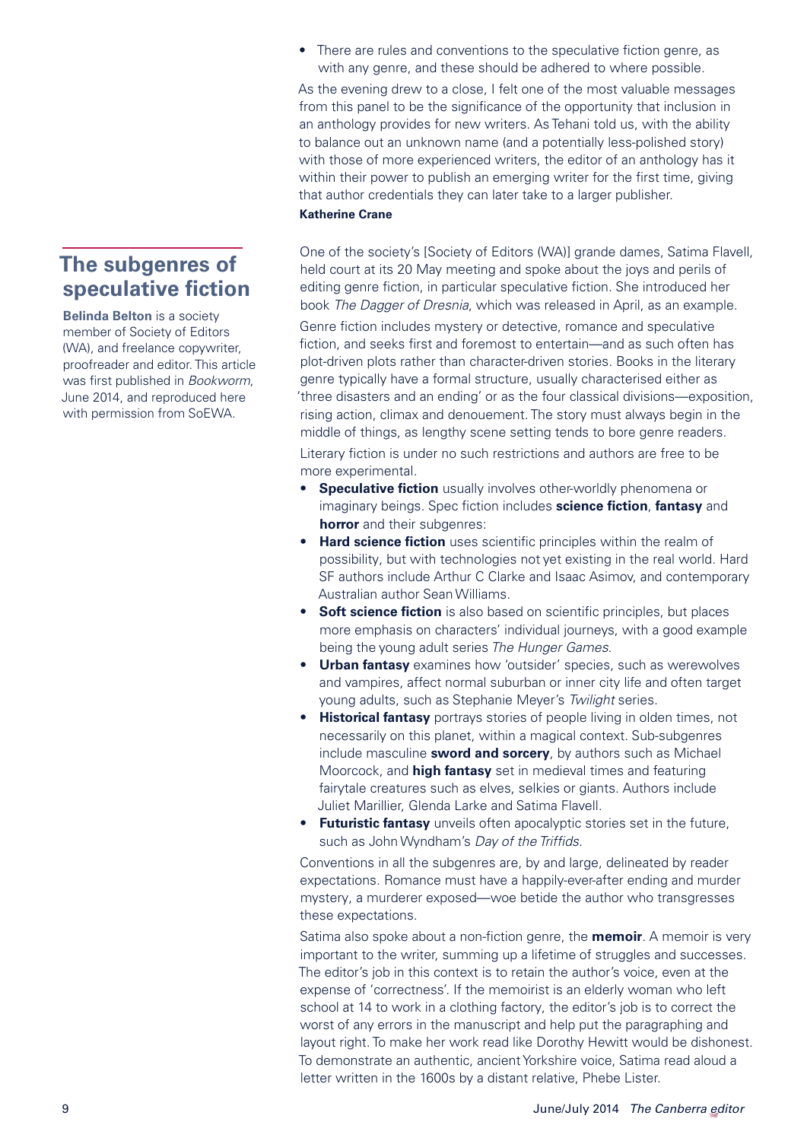## <span id="page-8-0"></span>**The subgenres of speculative fiction**

**Belinda Belton** is a society member of Society of Editors (WA), and freelance copywriter, proofreader and editor. This article was first published in *Bookworm*, June 2014, and reproduced here with permission from SoEWA.

• There are rules and conventions to the speculative fiction genre, as with any genre, and these should be adhered to where possible.

As the evening drew to a close, I felt one of the most valuable messages from this panel to be the significance of the opportunity that inclusion in an anthology provides for new writers. As Tehani told us, with the ability to balance out an unknown name (and a potentially less-polished story) with those of more experienced writers, the editor of an anthology has it within their power to publish an emerging writer for the first time, giving that author credentials they can later take to a larger publisher. **Katherine Crane**

One of the society's [Society of Editors (WA)] grande dames, Satima Flavell, held court at its 20 May meeting and spoke about the joys and perils of editing genre fiction, in particular speculative fiction. She introduced her book *The Dagger of Dresnia*, which was released in April, as an example.

Genre fiction includes mystery or detective, romance and speculative fiction, and seeks first and foremost to entertain—and as such often has plot-driven plots rather than character-driven stories. Books in the literary genre typically have a formal structure, usually characterised either as 'three disasters and an ending' or as the four classical divisions—exposition, rising action, climax and denouement. The story must always begin in the middle of things, as lengthy scene setting tends to bore genre readers. Literary fiction is under no such restrictions and authors are free to be more experimental.

- **Speculative fiction** usually involves other-worldly phenomena or imaginary beings. Spec fiction includes **science fiction**, **fantasy** and **horror** and their subgenres:
- **• Hard science fiction** uses scientific principles within the realm of possibility, but with technologies not yet existing in the real world. Hard SF authors include Arthur C Clarke and Isaac Asimov, and contemporary Australian author Sean Williams.
- **•• Soft science fiction** is also based on scientific principles, but places more emphasis on characters' individual journeys, with a good example being the young adult series *The Hunger Games*.
- **Urban fantasy** examines how 'outsider' species, such as werewolves and vampires, affect normal suburban or inner city life and often target young adults, such as Stephanie Meyer's *Twilight* series.
- **• Historical fantasy** portrays stories of people living in olden times, not necessarily on this planet, within a magical context. Sub-subgenres include masculine **sword and sorcery**, by authors such as Michael Moorcock, and **high fantasy** set in medieval times and featuring fairytale creatures such as elves, selkies or giants. Authors include Juliet Marillier, Glenda Larke and Satima Flavell.
- **• Futuristic fantasy** unveils often apocalyptic stories set in the future, such as John Wyndham's *Day of the Triffids*.

Conventions in all the subgenres are, by and large, delineated by reader expectations. Romance must have a happily-ever-after ending and murder mystery, a murderer exposed—woe betide the author who transgresses these expectations.

Satima also spoke about a non-fiction genre, the **memoir**. A memoir is very important to the writer, summing up a lifetime of struggles and successes. The editor's job in this context is to retain the author's voice, even at the expense of 'correctness'. If the memoirist is an elderly woman who left school at 14 to work in a clothing factory, the editor's job is to correct the worst of any errors in the manuscript and help put the paragraphing and layout right. To make her work read like Dorothy Hewitt would be dishonest. To demonstrate an authentic, ancient Yorkshire voice, Satima read aloud a letter written in the 1600s by a distant relative, Phebe Lister.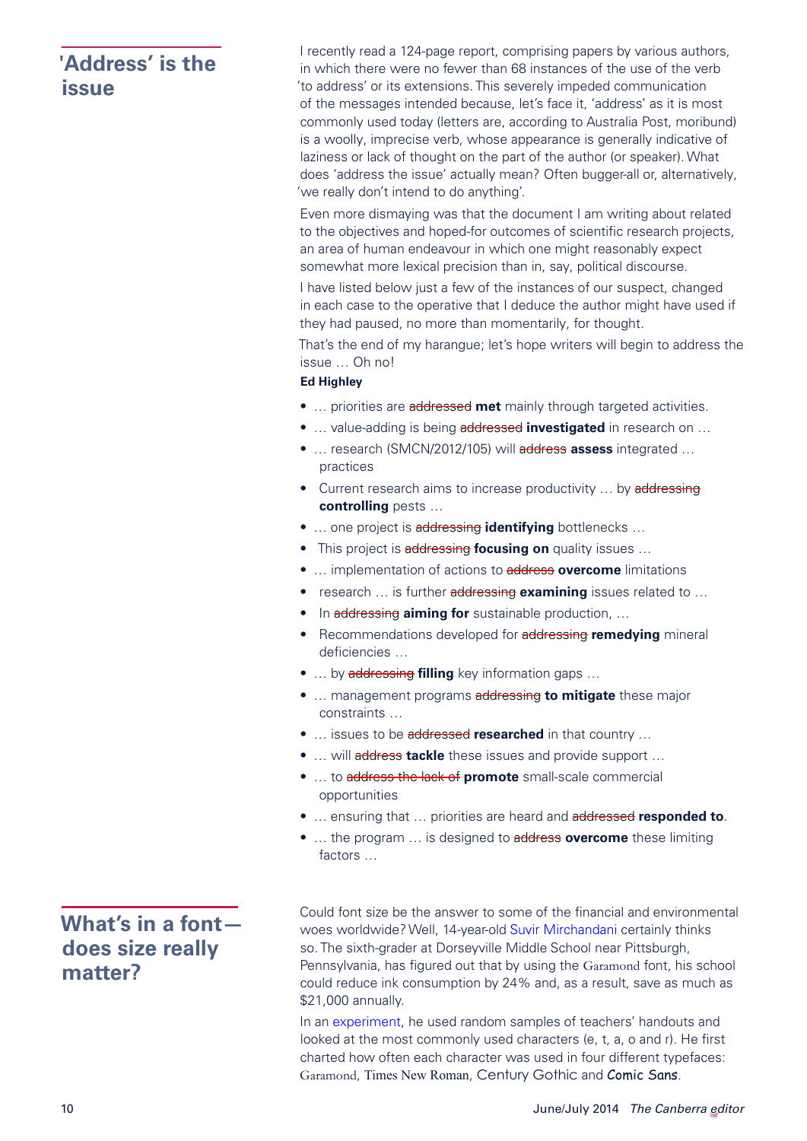# <span id="page-9-0"></span>**'Address' is the issue**

I recently read a 124-page report, comprising papers by various authors, in which there were no fewer than 68 instances of the use of the verb 'to address' or its extensions. This severely impeded communication of the messages intended because, let's face it, 'address' as it is most commonly used today (letters are, according to Australia Post, moribund) is a woolly, imprecise verb, whose appearance is generally indicative of laziness or lack of thought on the part of the author (or speaker). What does 'address the issue' actually mean? Often bugger-all or, alternatively, 'we really don't intend to do anything'.

Even more dismaying was that the document I am writing about related to the objectives and hoped-for outcomes of scientific research projects, an area of human endeavour in which one might reasonably expect somewhat more lexical precision than in, say, political discourse.

I have listed below just a few of the instances of our suspect, changed in each case to the operative that I deduce the author might have used if they had paused, no more than momentarily, for thought.

That's the end of my harangue; let's hope writers will begin to address the issue … Oh no!

#### **Ed Highley**

- … priorities are addressed **met** mainly through targeted activities.
- … value-adding is being addressed **investigated** in research on …
- … research (SMCN/2012/105) will address **assess** integrated … practices
- Current research aims to increase productivity ... by addressing **controlling** pests …
- … one project is addressing **identifying** bottlenecks …
- This project is addressing **focusing on** quality issues …
- … implementation of actions to address **overcome** limitations
- research … is further addressing **examining** issues related to …
- In addressing **aiming for** sustainable production, …
- Recommendations developed for addressing **remedying** mineral deficiencies …
- … by addressing **filling** key information gaps …
- … management programs addressing **to mitigate** these major constraints …
- … issues to be addressed **researched** in that country …
- ... will **address tackle** these issues and provide support ...
- … to address the lack of **promote** small-scale commercial opportunities
- … ensuring that … priorities are heard and addressed **responded to**.
- … the program … is designed to address **overcome** these limiting factors …

# <span id="page-9-1"></span>**What's in a font does size really matter?**

Could font size be the answer to some of the financial and environmental woes worldwide? Well, 14-year-old [Suvir Mirchandani](http://edition.cnn.com/2014/03/27/living/student-money-saving-typeface-garamond-schools/) certainly thinks so. The sixth-grader at Dorseyville Middle School near Pittsburgh, Pennsylvania, has figured out that by using the Garamond font, his school could reduce ink consumption by 24% and, as a result, save as much as \$21,000 annually.

In an [experiment,](http://edition.cnn.com/2014/03/27/living/student-money-saving-typeface-garamond-schools/) he used random samples of teachers' handouts and looked at the most commonly used characters (e, t, a, o and r). He first charted how often each character was used in four different typefaces: Garamond, Times New Roman, Century Gothic and Comic Sans.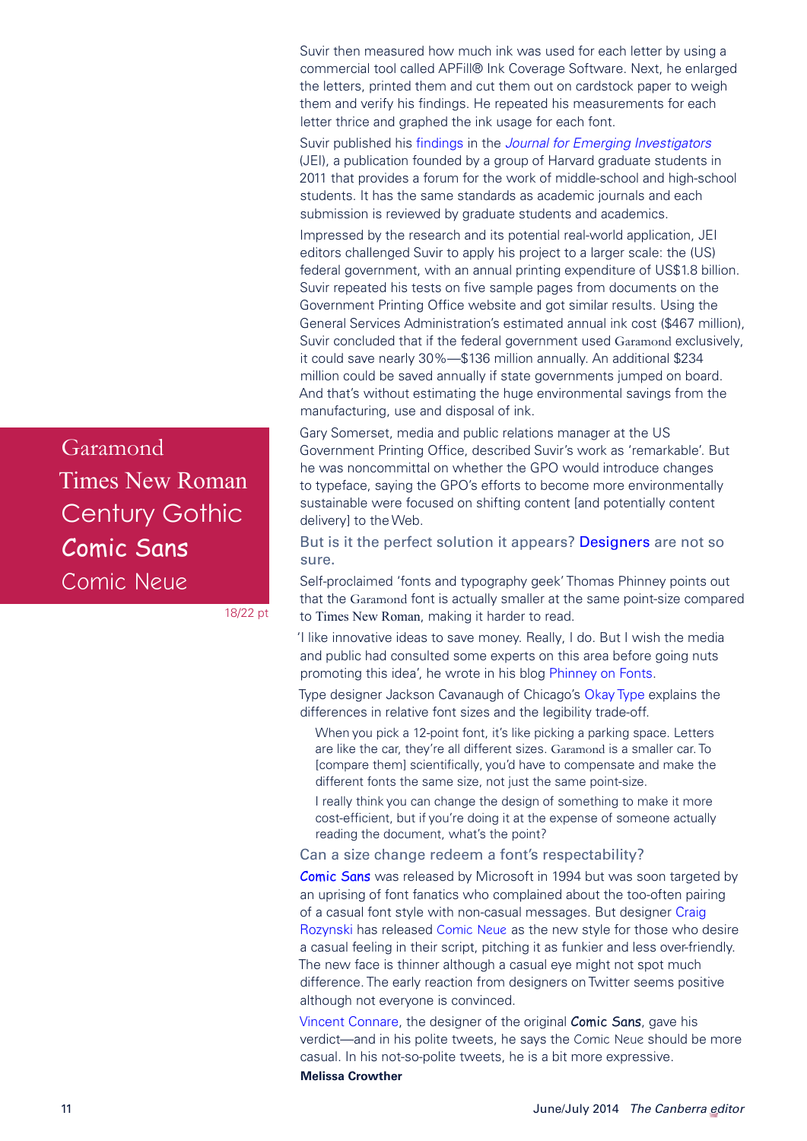Suvir then measured how much ink was used for each letter by using a commercial tool called APFill® Ink Coverage Software. Next, he enlarged the letters, printed them and cut them out on cardstock paper to weigh them and verify his findings. He repeated his measurements for each letter thrice and graphed the ink usage for each font.

Suvir published his [findings](http://www.emerginginvestigators.org/2014/03/ink-cost-2/) in the *[Journal for Emerging Investigators](http://www.emerginginvestigators.org/)* (JEI), a publication founded by a group of Harvard graduate students in 2011 that provides a forum for the work of middle-school and high-school students. It has the same standards as academic journals and each submission is reviewed by graduate students and academics.

Impressed by the research and its potential real-world application, JEI editors challenged Suvir to apply his project to a larger scale: the (US) federal government, with an annual printing expenditure of US\$1.8 billion. Suvir repeated his tests on five sample pages from documents on the Government Printing Office website and got similar results. Using the General Services Administration's estimated annual ink cost (\$467 million), Suvir concluded that if the federal government used Garamond exclusively, it could save nearly 30%—\$136 million annually. An additional \$234 million could be saved annually if state governments jumped on board. And that's without estimating the huge environmental savings from the manufacturing, use and disposal of ink.

Gary Somerset, media and public relations manager at the US Government Printing Office, described Suvir's work as 'remarkable'. But he was noncommittal on whether the GPO would introduce changes to typeface, saying the GPO's efforts to become more environmentally sustainable were focused on shifting content [and potentially content delivery] to the Web.

But is it the perfect solution it appears? [Designers](http://www.theguardian.com/artanddesign/2014/mar/31/ask-a-designer-switching-fonts-save-us-government-millions) are not so sure.

Self-proclaimed 'fonts and typography geek' Thomas Phinney points out that the Garamond font is actually smaller at the same point-size compared to Times New Roman, making it harder to read.

'I like innovative ideas to save money. Really, I do. But I wish the media and public had consulted some experts on this area before going nuts promoting this idea', he wrote in his blog [Phinney on Fonts.](http://www.thomasphinney.com/2014/03/saving-400m-font/)

Type designer Jackson Cavanaugh of Chicago's [Okay Type](http://okaytype.com/hello/friend) explains the differences in relative font sizes and the legibility trade-off.

When you pick a 12-point font, it's like picking a parking space. Letters are like the car, they're all different sizes. Garamond is a smaller car. To [compare them] scientifically, you'd have to compensate and make the different fonts the same size, not just the same point-size.

I really think you can change the design of something to make it more cost-efficient, but if you're doing it at the expense of someone actually reading the document, what's the point?

Can a size change redeem a font's respectability?

**[Comic Sans](mailto:president%40editorscanberra.org?subject=)** was released by Microsoft in 1994 but was soon targeted by an uprising of font fanatics who complained about the too-often pairing of a casual font style with non-casual messages. But designer [Craig](https://twitter.com/craigrozynski)  [Rozynski](https://twitter.com/craigrozynski) has released [Comic Neue](http://www.comicneue.com/) as the new style for those who desire a casual feeling in their script, pitching it as funkier and less over-friendly. The new face is thinner although a casual eye might not spot much difference. The early reaction from designers on Twitter seems positive although not everyone is convinced.

[Vincent Connare](https://twitter.com/VincentConnare), the designer of the original Comic Sans, gave his verdict—and in his polite tweets, he says the Comic Neue should be more casual. In his not-so-polite tweets, he is a bit more expressive.

**Melissa Crowther**

Garamond Times New Roman Century Gothic Comic Sans [Comic Neue](http://www.comicneue.com/)

18/22 pt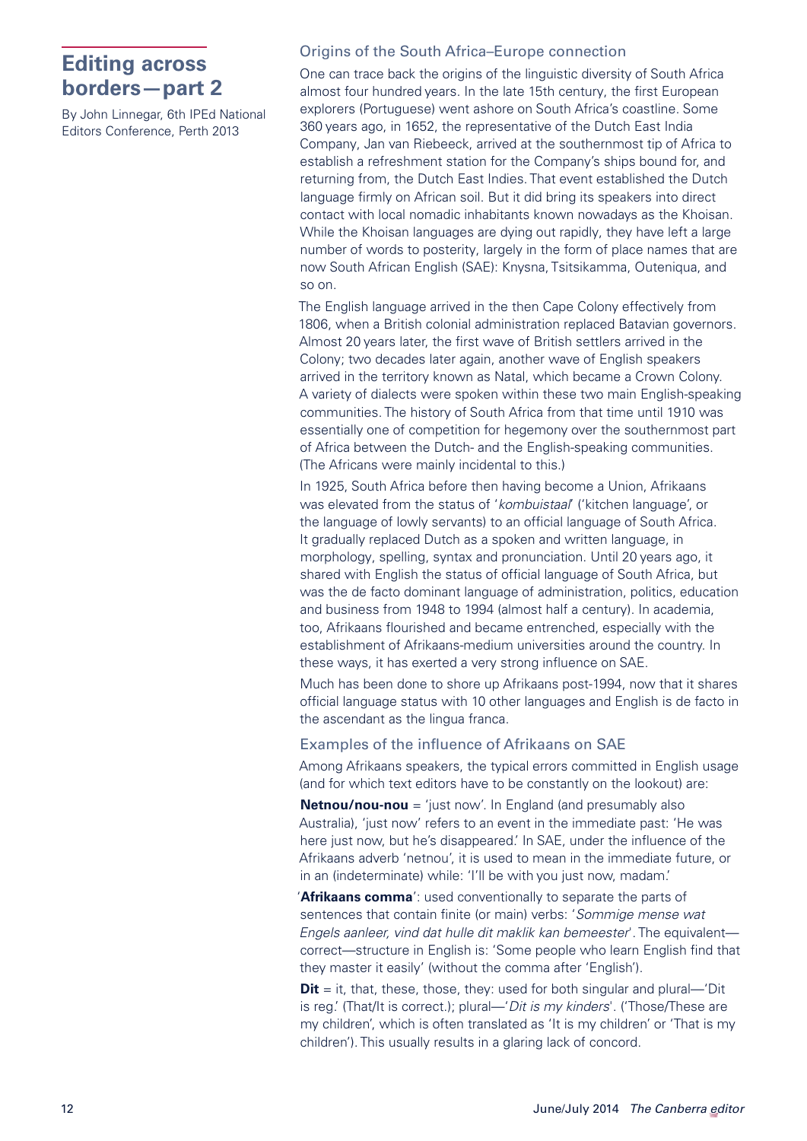# <span id="page-11-0"></span>**Editing across borders—part 2**

By John Linnegar, 6th IPEd National Editors Conference, Perth 2013

#### Origins of the South Africa–Europe connection

One can trace back the origins of the linguistic diversity of South Africa almost four hundred years. In the late 15th century, the first European explorers (Portuguese) went ashore on South Africa's coastline. Some 360 years ago, in 1652, the representative of the Dutch East India Company, Jan van Riebeeck, arrived at the southernmost tip of Africa to establish a refreshment station for the Company's ships bound for, and returning from, the Dutch East Indies. That event established the Dutch language firmly on African soil. But it did bring its speakers into direct contact with local nomadic inhabitants known nowadays as the Khoisan. While the Khoisan languages are dying out rapidly, they have left a large number of words to posterity, largely in the form of place names that are now South African English (SAE): Knysna, Tsitsikamma, Outeniqua, and so on.

The English language arrived in the then Cape Colony effectively from 1806, when a British colonial administration replaced Batavian governors. Almost 20 years later, the first wave of British settlers arrived in the Colony; two decades later again, another wave of English speakers arrived in the territory known as Natal, which became a Crown Colony. A variety of dialects were spoken within these two main English-speaking communities. The history of South Africa from that time until 1910 was essentially one of competition for hegemony over the southernmost part of Africa between the Dutch- and the English-speaking communities. (The Africans were mainly incidental to this.)

In 1925, South Africa before then having become a Union, Afrikaans was elevated from the status of '*kombuistaal*' ('kitchen language', or the language of lowly servants) to an official language of South Africa. It gradually replaced Dutch as a spoken and written language, in morphology, spelling, syntax and pronunciation. Until 20 years ago, it shared with English the status of official language of South Africa, but was the de facto dominant language of administration, politics, education and business from 1948 to 1994 (almost half a century). In academia, too, Afrikaans flourished and became entrenched, especially with the establishment of Afrikaans-medium universities around the country. In these ways, it has exerted a very strong influence on SAE.

Much has been done to shore up Afrikaans post-1994, now that it shares official language status with 10 other languages and English is de facto in the ascendant as the lingua franca.

#### Examples of the influence of Afrikaans on SAE

Among Afrikaans speakers, the typical errors committed in English usage (and for which text editors have to be constantly on the lookout) are:

**Netnou/nou-nou** = 'just now'. In England (and presumably also Australia), 'just now' refers to an event in the immediate past: 'He was here just now, but he's disappeared.' In SAE, under the influence of the Afrikaans adverb 'netnou', it is used to mean in the immediate future, or in an (indeterminate) while: 'I'll be with you just now, madam.'

'**Afrikaans comma**': used conventionally to separate the parts of sentences that contain finite (or main) verbs: '*Sommige mense wat Engels aanleer, vind dat hulle dit maklik kan bemeester*'. The equivalent correct—structure in English is: 'Some people who learn English find that they master it easily' (without the comma after 'English').

**Dit** = it, that, these, those, they: used for both singular and plural—'Dit is reg.' (That/It is correct.); plural—'*Dit is my kinders*'. ('Those/These are my children', which is often translated as 'It is my children' or 'That is my children'). This usually results in a glaring lack of concord.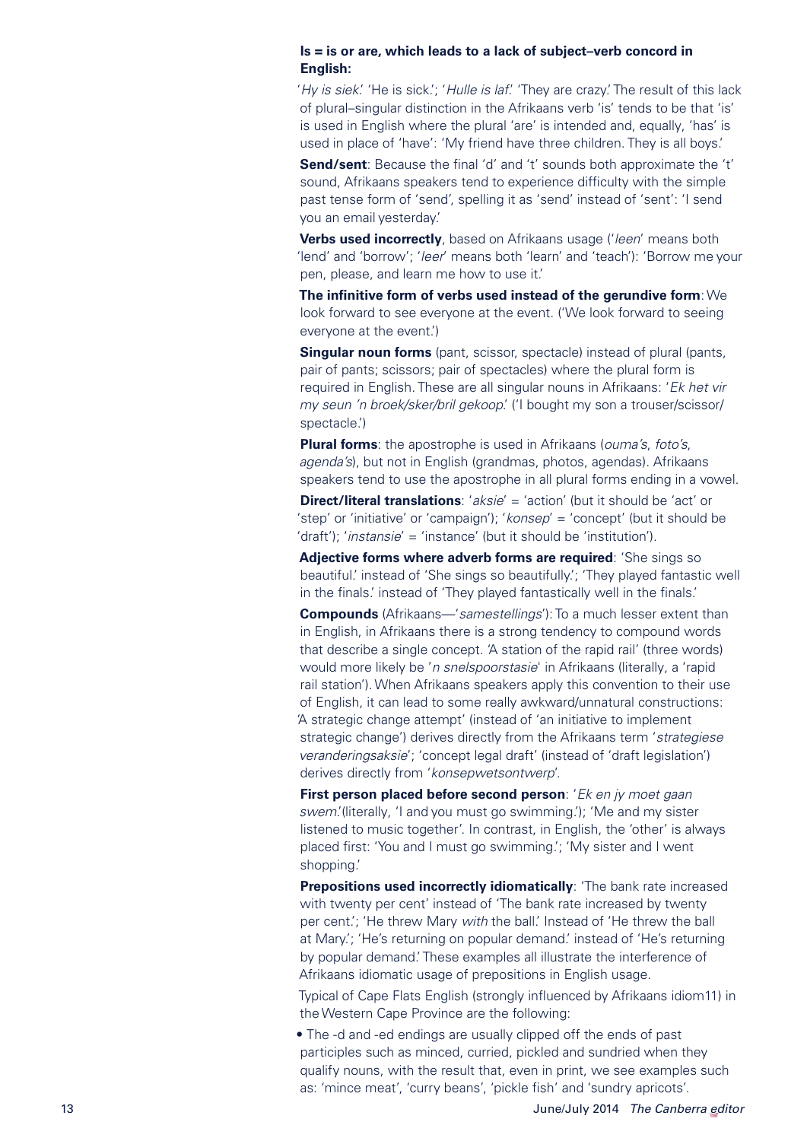#### **Is = is or are, which leads to a lack of subject–verb concord in English:**

'*Hy is siek*.' 'He is sick.'; '*Hulle is laf*.' 'They are crazy.' The result of this lack of plural–singular distinction in the Afrikaans verb 'is' tends to be that 'is' is used in English where the plural 'are' is intended and, equally, 'has' is used in place of 'have': 'My friend have three children. They is all boys.'

**Send/sent**: Because the final 'd' and 't' sounds both approximate the 't' sound, Afrikaans speakers tend to experience difficulty with the simple past tense form of 'send', spelling it as 'send' instead of 'sent': 'I send you an email yesterday.'

**Verbs used incorrectly**, based on Afrikaans usage ('*leen*' means both 'lend' and 'borrow'; '*leer*' means both 'learn' and 'teach'): 'Borrow me your pen, please, and learn me how to use it.'

**The infinitive form of verbs used instead of the gerundive form**: We look forward to see everyone at the event. ('We look forward to seeing everyone at the event.')

**Singular noun forms** (pant, scissor, spectacle) instead of plural (pants, pair of pants; scissors; pair of spectacles) where the plural form is required in English. These are all singular nouns in Afrikaans: '*Ek het vir my seun 'n broek/sker/bril gekoop*.' ('I bought my son a trouser/scissor/ spectacle.')

**Plural forms**: the apostrophe is used in Afrikaans (*ouma's*, *foto's*, *agenda's*), but not in English (grandmas, photos, agendas). Afrikaans speakers tend to use the apostrophe in all plural forms ending in a vowel.

**Direct/literal translations:** '*aksie'* = 'action' (but it should be 'act' or 'step' or 'initiative' or 'campaign'); '*konsep*' = 'concept' (but it should be 'draft'); '*instansie*' = 'instance' (but it should be 'institution').

**Adjective forms where adverb forms are required**: 'She sings so beautiful.' instead of 'She sings so beautifully.'; 'They played fantastic well in the finals.' instead of 'They played fantastically well in the finals.'

**Compounds** (Afrikaans—'*samestellings*'): To a much lesser extent than in English, in Afrikaans there is a strong tendency to compound words that describe a single concept. 'A station of the rapid rail' (three words) would more likely be '*n snelspoorstasie*' in Afrikaans (literally, a 'rapid rail station'). When Afrikaans speakers apply this convention to their use of English, it can lead to some really awkward/unnatural constructions: 'A strategic change attempt' (instead of 'an initiative to implement strategic change') derives directly from the Afrikaans term '*strategiese veranderingsaksie*'; 'concept legal draft' (instead of 'draft legislation') derives directly from '*konsepwetsontwerp*'.

**First person placed before second person**: '*Ek en jy moet gaan swem*.'(literally, 'I and you must go swimming.'); 'Me and my sister listened to music together'. In contrast, in English, the 'other' is always placed first: 'You and I must go swimming.'; 'My sister and I went shopping.'

**Prepositions used incorrectly idiomatically:** 'The bank rate increased with twenty per cent' instead of 'The bank rate increased by twenty per cent.'; 'He threw Mary *with* the ball.' Instead of 'He threw the ball at Mary.'; 'He's returning on popular demand.' instead of 'He's returning by popular demand.' These examples all illustrate the interference of Afrikaans idiomatic usage of prepositions in English usage.

Typical of Cape Flats English (strongly influenced by Afrikaans idiom11) in the Western Cape Province are the following:

• The -d and -ed endings are usually clipped off the ends of past participles such as minced, curried, pickled and sundried when they qualify nouns, with the result that, even in print, we see examples such as: 'mince meat', 'curry beans', 'pickle fish' and 'sundry apricots'.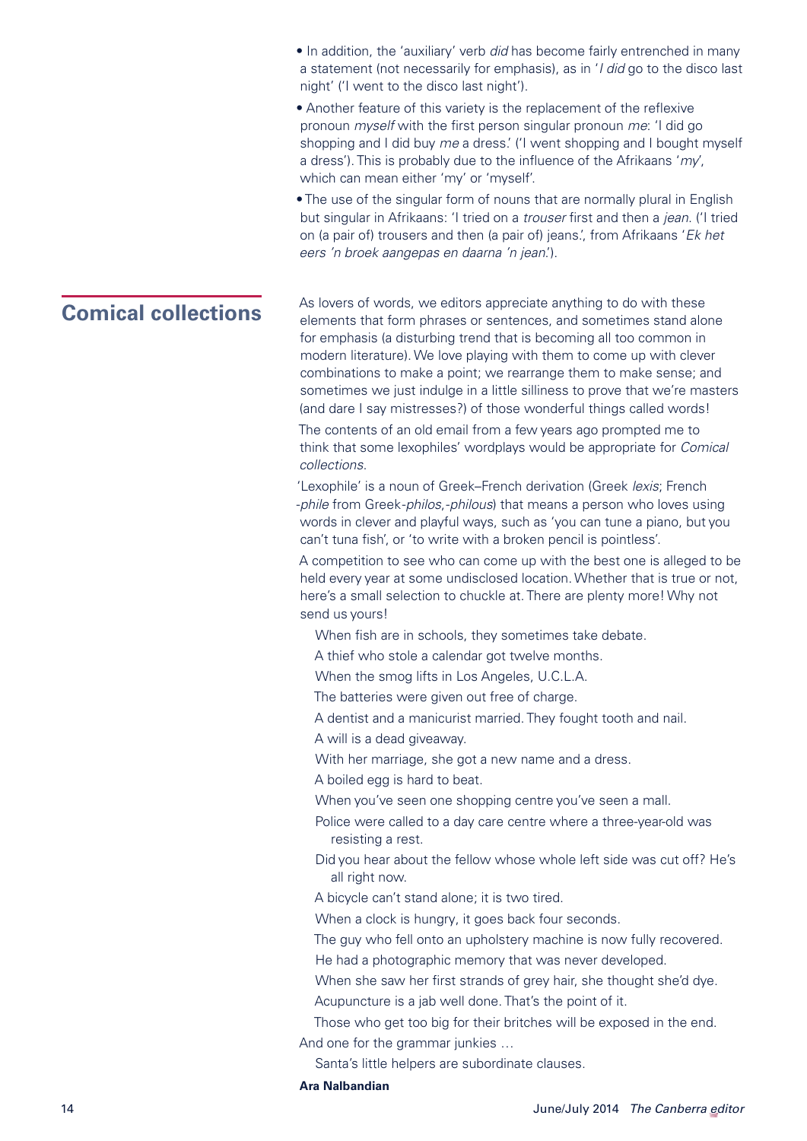- In addition, the 'auxiliary' verb *did* has become fairly entrenched in many a statement (not necessarily for emphasis), as in '*I did* go to the disco last night' ('I went to the disco last night').
- Another feature of this variety is the replacement of the reflexive pronoun *myself* with the first person singular pronoun *me*: 'I did go shopping and I did buy *me* a dress.' ('I went shopping and I bought myself a dress'). This is probably due to the influence of the Afrikaans '*my*', which can mean either 'my' or 'myself'.
- The use of the singular form of nouns that are normally plural in English but singular in Afrikaans: 'I tried on a *trouser* first and then a *jean*. ('I tried on (a pair of) trousers and then (a pair of) jeans.', from Afrikaans '*Ek het eers 'n broek aangepas en daarna 'n jean*.').

<span id="page-13-0"></span>**Comical collections** As lovers of words, we editors appreciate anything to do with these elements that form phrases or sentences, and sometimes stand alone for emphasis (a disturbing trend that is becoming all too common in modern literature). We love playing with them to come up with clever combinations to make a point; we rearrange them to make sense; and sometimes we just indulge in a little silliness to prove that we're masters (and dare I say mistresses?) of those wonderful things called words!

> The contents of an old email from a few years ago prompted me to think that some lexophiles' wordplays would be appropriate for *Comical collections*.

> 'Lexophile' is a noun of Greek–French derivation (Greek *lexis*; French -*phile* from Greek -*philos*, -*philous*) that means a person who loves using words in clever and playful ways, such as 'you can tune a piano, but you can't tuna fish', or 'to write with a broken pencil is pointless'.

A competition to see who can come up with the best one is alleged to be held every year at some undisclosed location. Whether that is true or not, here's a small selection to chuckle at. There are plenty more! Why not send us yours!

- When fish are in schools, they sometimes take debate.
- A thief who stole a calendar got twelve months.
- When the smog lifts in Los Angeles, U.C.L.A.
- The batteries were given out free of charge.
- A dentist and a manicurist married. They fought tooth and nail.
- A will is a dead giveaway.
- With her marriage, she got a new name and a dress.
- A boiled egg is hard to beat.
- When you've seen one shopping centre you've seen a mall.
- Police were called to a day care centre where a three-year-old was resisting a rest.
- Did you hear about the fellow whose whole left side was cut off? He's all right now.
- A bicycle can't stand alone; it is two tired.
- When a clock is hungry, it goes back four seconds.
- The guy who fell onto an upholstery machine is now fully recovered.
- He had a photographic memory that was never developed.
- When she saw her first strands of grey hair, she thought she'd dye.
- Acupuncture is a jab well done. That's the point of it.
- Those who get too big for their britches will be exposed in the end. And one for the grammar junkies …
	- Santa's little helpers are subordinate clauses.

#### **Ara Nalbandian**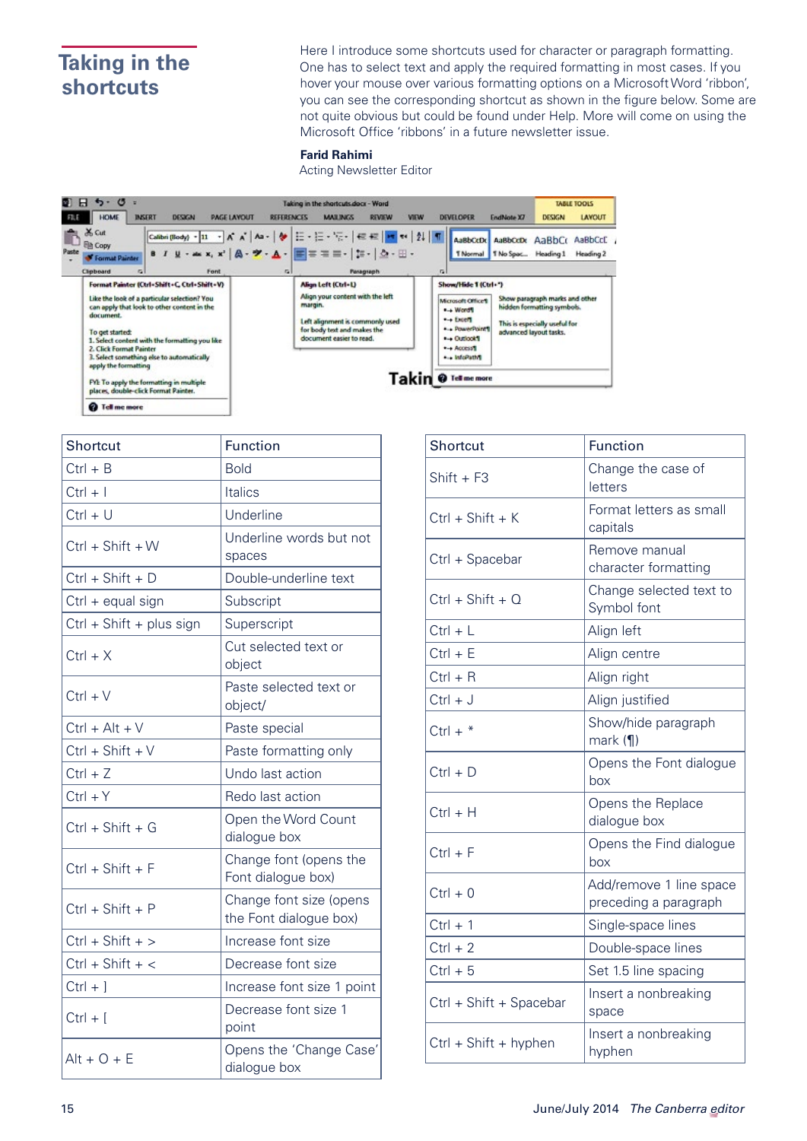# <span id="page-14-0"></span>**Taking in the shortcuts**

Here I introduce some shortcuts used for character or paragraph formatting. One has to select text and apply the required formatting in most cases. If you hover your mouse over various formatting options on a Microsoft Word 'ribbon', you can see the corresponding shortcut as shown in the figure below. Some are not quite obvious but could be found under Help. More will come on using the Microsoft Office 'ribbons' in a future newsletter issue.

#### **Farid Rahimi**

Acting Newsletter Editor

| $5 - 0$<br>Ы<br><b>HOME</b><br><b>INSERT</b><br><b>DESIGN</b><br><b>PAGE LAYOUT</b>                                                                                                                                                                                                                                          | Taking in the shortcuts docx - Word<br><b>REFERENCES</b><br><b>MAILINGS</b><br><b>REVIEW</b><br><b>VIEW</b>                                                                                                                                                                                                                                                                              | <b>DEVELOPER</b>                                                                                                                                         | <b>TABLE TOOLS</b><br><b>DESIGN</b><br><b>LAYOUT</b><br>EndNote X7                                                      |
|------------------------------------------------------------------------------------------------------------------------------------------------------------------------------------------------------------------------------------------------------------------------------------------------------------------------------|------------------------------------------------------------------------------------------------------------------------------------------------------------------------------------------------------------------------------------------------------------------------------------------------------------------------------------------------------------------------------------------|----------------------------------------------------------------------------------------------------------------------------------------------------------|-------------------------------------------------------------------------------------------------------------------------|
| X <sub>ext</sub><br><b>Ela Copy</b><br>Paste<br><b><i>Commat Painter</i></b><br>Clipboard<br>横<br>Font                                                                                                                                                                                                                       | $\boxed{\text{Calbri}(\text{Body})-\text{11} \rightarrow \text{A}^* \text{A}^* \mid \text{Aa}-\mid \text{Ab}^* \mid \text{E}-\mid \text{E}-\mid \text{E}-\mid \text{E} \equiv \mid \text{Ib}^* \approx \mid 2\mid \mid \text{T} \mid \mid \text{AabbCo} \mid \text{Aabbcob} \mid \text{Aabbcob}$<br>8 / U · as x, x'   A · ツ · A ·   三 = = = -   1 ·   △ · 田 ·<br><b>GI</b><br>Pasagraph | G.                                                                                                                                                       | AaBbCcC<br>T Normal T No Spac Heading 1 Heading 2                                                                       |
| Format Painter (Ctrl=Shift+C, Ctrl+Shift+V)<br>Like the look of a particular selection? You<br>can apply that look to other content in the<br>document.<br>To get started:<br>1. Select content with the formatting you like<br>2. Click Format Painter<br>3. Select something else to automatically<br>apply the formatting | Align Left (Ctrl+L)<br>Align your content with the left<br>margin.<br>Left alignment is commonly used<br>for body test and makes the<br>document easier to read.                                                                                                                                                                                                                         | Show/Hide 1 (Ctrl+")<br>Microsoft Office's<br>$+$ Word <sup>1</sup><br>$-$ Excell<br>* * PowerPoint'S<br>the Outlook I<br>$+$ Access 1<br>** InfoPath'll | Show paragraph marks and other<br>hidden formatting symbols.<br>This is especially useful for<br>advanced layout tasks. |
| FYE To apply the formatting in multiple<br>places, double-click Format Painter.                                                                                                                                                                                                                                              | Takin<br><sup>2</sup> Tell me more                                                                                                                                                                                                                                                                                                                                                       |                                                                                                                                                          |                                                                                                                         |
| ø<br><b>Tell me more</b>                                                                                                                                                                                                                                                                                                     |                                                                                                                                                                                                                                                                                                                                                                                          |                                                                                                                                                          |                                                                                                                         |

| Shortcut                 | <b>Function</b>                                   |
|--------------------------|---------------------------------------------------|
| $Ctrl + B$               | <b>Bold</b>                                       |
| $Ctrl + I$               | Italics                                           |
| $Ctrl + U$               | Underline                                         |
| $Ctrl + Shift + W$       | Underline words but not<br>spaces                 |
| Ctrl + Shift + D         | Double-underline text                             |
| Ctrl + equal sign        | Subscript                                         |
| Ctrl + Shift + plus sign | Superscript                                       |
| $Ctrl + X$               | Cut selected text or<br>object                    |
| $Ctrl + V$               | Paste selected text or<br>object/                 |
| $Ctrl + Alt + V$         | Paste special                                     |
| $Ctrl + Shift + V$       | Paste formatting only                             |
| $Ctrl + Z$               | Undo last action                                  |
| $Ctrl + Y$               | Redo last action                                  |
| $Ctrl + Shift + G$       | Open the Word Count<br>dialogue box               |
| $Ctrl + Shift + F$       | Change font (opens the<br>Font dialogue box)      |
| $Ctrl + Shift + P$       | Change font size (opens<br>the Font dialogue box) |
| $Ctrl + Shift + >$       | Increase font size                                |
| $Ctrl + Shift + <$       | Decrease font size                                |
| $Ctrl + 1$               | Increase font size 1 point                        |
| $Ctrl + [$               | Decrease font size 1<br>point                     |
| $Alt + O + E$            | Opens the 'Change Case'<br>dialogue box           |

| Shortcut                | <b>Function</b>                                  |  |
|-------------------------|--------------------------------------------------|--|
| $Shift + F3$            | Change the case of<br>letters                    |  |
| $Ctrl + Shift + K$      | Format letters as small<br>capitals              |  |
| Ctrl + Spacebar         | Remove manual<br>character formatting            |  |
| $Ctrl + Shift + O$      | Change selected text to<br>Symbol font           |  |
| $Ctrl + L$              | Align left                                       |  |
| $Ctrl + E$              | Align centre                                     |  |
| $Ctrl + R$              | Align right                                      |  |
| $Ctrl + J$              | Align justified                                  |  |
| $Ctrl + *$              | Show/hide paragraph<br>mark(                     |  |
| $Ctrl + D$              | Opens the Font dialogue<br>box                   |  |
| $Ctrl + H$              | Opens the Replace<br>dialogue box                |  |
| $Ctrl + F$              | Opens the Find dialogue<br>box                   |  |
| $Ctrl + 0$              | Add/remove 1 line space<br>preceding a paragraph |  |
| $Ctrl + 1$              | Single-space lines                               |  |
| $Ctrl + 2$              | Double-space lines                               |  |
| $Ctrl + 5$              | Set 1.5 line spacing                             |  |
| Ctrl + Shift + Spacebar | Insert a nonbreaking<br>space                    |  |
| $Ctrl + Shift + hyphen$ | Insert a nonbreaking<br>hyphen                   |  |